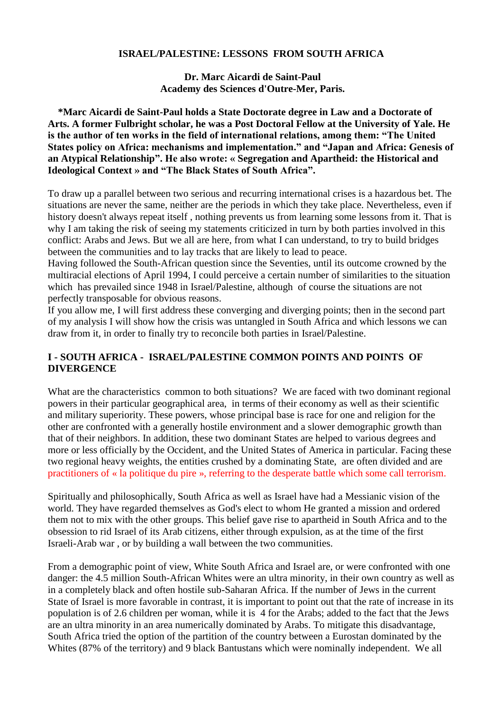## **ISRAEL/PALESTINE: LESSONS FROM SOUTH AFRICA**

**Dr. Marc Aicardi de Saint-Paul Academy des Sciences d'Outre-Mer, Paris.**

 **\*Marc Aicardi de Saint-Paul holds a State Doctorate degree in Law and a Doctorate of Arts. A former Fulbright scholar, he was a Post Doctoral Fellow at the University of Yale. He is the author of ten works in the field of international relations, among them: "The United States policy on Africa: mechanisms and implementation." and "Japan and Africa: Genesis of an Atypical Relationship". He also wrote: « Segregation and Apartheid: the Historical and Ideological Context » and "The Black States of South Africa".**

To draw up a parallel between two serious and recurring international crises is a hazardous bet. The situations are never the same, neither are the periods in which they take place. Nevertheless, even if history doesn't always repeat itself , nothing prevents us from learning some lessons from it. That is why I am taking the risk of seeing my statements criticized in turn by both parties involved in this conflict: Arabs and Jews. But we all are here, from what I can understand, to try to build bridges between the communities and to lay tracks that are likely to lead to peace.

Having followed the South-African question since the Seventies, until its outcome crowned by the multiracial elections of April 1994, I could perceive a certain number of similarities to the situation which has prevailed since 1948 in Israel/Palestine, although of course the situations are not perfectly transposable for obvious reasons.

If you allow me, I will first address these converging and diverging points; then in the second part of my analysis I will show how the crisis was untangled in South Africa and which lessons we can draw from it, in order to finally try to reconcile both parties in Israel/Palestine.

## **I - SOUTH AFRICA - ISRAEL/PALESTINE COMMON POINTS AND POINTS OF DIVERGENCE**

What are the characteristics common to both situations? We are faced with two dominant regional powers in their particular geographical area, in terms of their economy as well as their scientific and military superiority. These powers, whose principal base is race for one and religion for the other are confronted with a generally hostile environment and a slower demographic growth than that of their neighbors. In addition, these two dominant States are helped to various degrees and more or less officially by the Occident, and the United States of America in particular. Facing these two regional heavy weights, the entities crushed by a dominating State, are often divided and are practitioners of « la politique du pire », referring to the desperate battle which some call terrorism.

Spiritually and philosophically, South Africa as well as Israel have had a Messianic vision of the world. They have regarded themselves as God's elect to whom He granted a mission and ordered them not to mix with the other groups. This belief gave rise to apartheid in South Africa and to the obsession to rid Israel of its Arab citizens, either through expulsion, as at the time of the first Israeli-Arab war , or by building a wall between the two communities.

From a demographic point of view, White South Africa and Israel are, or were confronted with one danger: the 4.5 million South-African Whites were an ultra minority, in their own country as well as in a completely black and often hostile sub-Saharan Africa. If the number of Jews in the current State of Israel is more favorable in contrast, it is important to point out that the rate of increase in its population is of 2.6 children per woman, while it is 4 for the Arabs; added to the fact that the Jews are an ultra minority in an area numerically dominated by Arabs. To mitigate this disadvantage, South Africa tried the option of the partition of the country between a Eurostan dominated by the Whites (87% of the territory) and 9 black Bantustans which were nominally independent. We all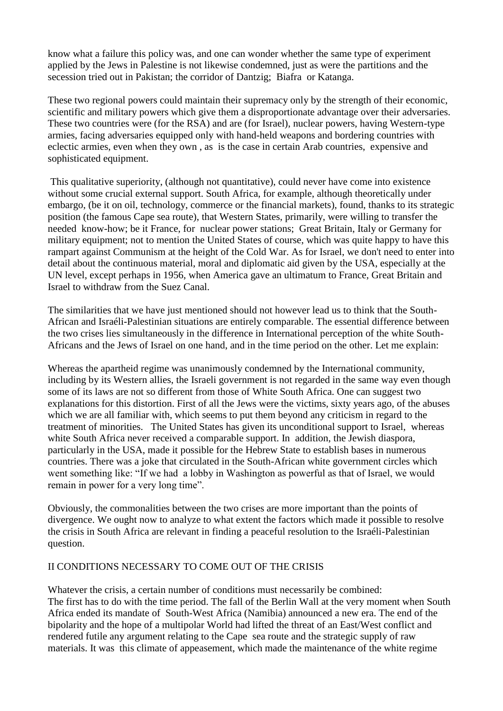know what a failure this policy was, and one can wonder whether the same type of experiment applied by the Jews in Palestine is not likewise condemned, just as were the partitions and the secession tried out in Pakistan; the corridor of Dantzig; Biafra or Katanga.

These two regional powers could maintain their supremacy only by the strength of their economic, scientific and military powers which give them a disproportionate advantage over their adversaries. These two countries were (for the RSA) and are (for Israel), nuclear powers, having Western-type armies, facing adversaries equipped only with hand-held weapons and bordering countries with eclectic armies, even when they own , as is the case in certain Arab countries, expensive and sophisticated equipment.

This qualitative superiority, (although not quantitative), could never have come into existence without some crucial external support. South Africa, for example, although theoretically under embargo, (be it on oil, technology, commerce or the financial markets), found, thanks to its strategic position (the famous Cape sea route), that Western States, primarily, were willing to transfer the needed know-how; be it France, for nuclear power stations; Great Britain, Italy or Germany for military equipment; not to mention the United States of course, which was quite happy to have this rampart against Communism at the height of the Cold War. As for Israel, we don't need to enter into detail about the continuous material, moral and diplomatic aid given by the USA, especially at the UN level, except perhaps in 1956, when America gave an ultimatum to France, Great Britain and Israel to withdraw from the Suez Canal.

The similarities that we have just mentioned should not however lead us to think that the South-African and Israéli-Palestinian situations are entirely comparable. The essential difference between the two crises lies simultaneously in the difference in International perception of the white South-Africans and the Jews of Israel on one hand, and in the time period on the other. Let me explain:

Whereas the apartheid regime was unanimously condemned by the International community, including by its Western allies, the Israeli government is not regarded in the same way even though some of its laws are not so different from those of White South Africa. One can suggest two explanations for this distortion. First of all the Jews were the victims, sixty years ago, of the abuses which we are all familiar with, which seems to put them beyond any criticism in regard to the treatment of minorities. The United States has given its unconditional support to Israel, whereas white South Africa never received a comparable support. In addition, the Jewish diaspora, particularly in the USA, made it possible for the Hebrew State to establish bases in numerous countries. There was a joke that circulated in the South-African white government circles which went something like: "If we had a lobby in Washington as powerful as that of Israel, we would remain in power for a very long time".

Obviously, the commonalities between the two crises are more important than the points of divergence. We ought now to analyze to what extent the factors which made it possible to resolve the crisis in South Africa are relevant in finding a peaceful resolution to the Israéli-Palestinian question.

## II CONDITIONS NECESSARY TO COME OUT OF THE CRISIS

Whatever the crisis, a certain number of conditions must necessarily be combined: The first has to do with the time period. The fall of the Berlin Wall at the very moment when South Africa ended its mandate of South-West Africa (Namibia) announced a new era. The end of the bipolarity and the hope of a multipolar World had lifted the threat of an East/West conflict and rendered futile any argument relating to the Cape sea route and the strategic supply of raw materials. It was this climate of appeasement, which made the maintenance of the white regime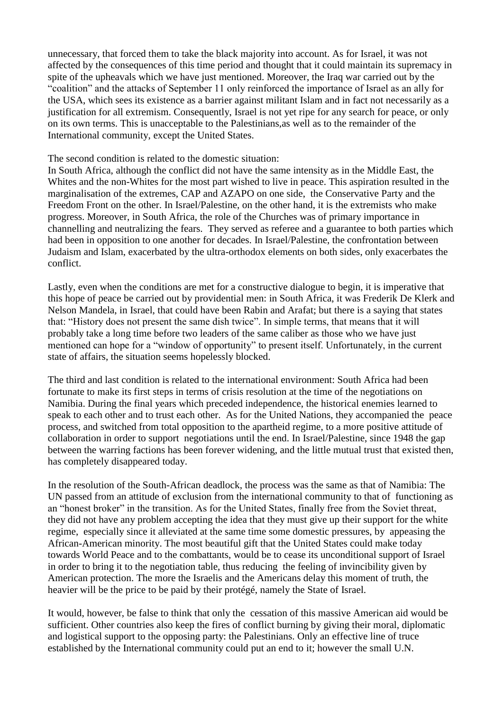unnecessary, that forced them to take the black majority into account. As for Israel, it was not affected by the consequences of this time period and thought that it could maintain its supremacy in spite of the upheavals which we have just mentioned. Moreover, the Iraq war carried out by the "coalition" and the attacks of September 11 only reinforced the importance of Israel as an ally for the USA, which sees its existence as a barrier against militant Islam and in fact not necessarily as a justification for all extremism. Consequently, Israel is not yet ripe for any search for peace, or only on its own terms. This is unacceptable to the Palestinians,as well as to the remainder of the International community, except the United States.

## The second condition is related to the domestic situation:

In South Africa, although the conflict did not have the same intensity as in the Middle East, the Whites and the non-Whites for the most part wished to live in peace. This aspiration resulted in the marginalisation of the extremes, CAP and AZAPO on one side, the Conservative Party and the Freedom Front on the other. In Israel/Palestine, on the other hand, it is the extremists who make progress. Moreover, in South Africa, the role of the Churches was of primary importance in channelling and neutralizing the fears. They served as referee and a guarantee to both parties which had been in opposition to one another for decades. In Israel/Palestine, the confrontation between Judaism and Islam, exacerbated by the ultra-orthodox elements on both sides, only exacerbates the conflict.

Lastly, even when the conditions are met for a constructive dialogue to begin, it is imperative that this hope of peace be carried out by providential men: in South Africa, it was Frederik De Klerk and Nelson Mandela, in Israel, that could have been Rabin and Arafat; but there is a saying that states that: "History does not present the same dish twice". In simple terms, that means that it will probably take a long time before two leaders of the same caliber as those who we have just mentioned can hope for a "window of opportunity" to present itself. Unfortunately, in the current state of affairs, the situation seems hopelessly blocked.

The third and last condition is related to the international environment: South Africa had been fortunate to make its first steps in terms of crisis resolution at the time of the negotiations on Namibia. During the final years which preceded independence, the historical enemies learned to speak to each other and to trust each other. As for the United Nations, they accompanied the peace process, and switched from total opposition to the apartheid regime, to a more positive attitude of collaboration in order to support negotiations until the end. In Israel/Palestine, since 1948 the gap between the warring factions has been forever widening, and the little mutual trust that existed then, has completely disappeared today.

In the resolution of the South-African deadlock, the process was the same as that of Namibia: The UN passed from an attitude of exclusion from the international community to that of functioning as an "honest broker" in the transition. As for the United States, finally free from the Soviet threat, they did not have any problem accepting the idea that they must give up their support for the white regime, especially since it alleviated at the same time some domestic pressures, by appeasing the African-American minority. The most beautiful gift that the United States could make today towards World Peace and to the combattants, would be to cease its unconditional support of Israel in order to bring it to the negotiation table, thus reducing the feeling of invincibility given by American protection. The more the Israelis and the Americans delay this moment of truth, the heavier will be the price to be paid by their protégé, namely the State of Israel.

It would, however, be false to think that only the cessation of this massive American aid would be sufficient. Other countries also keep the fires of conflict burning by giving their moral, diplomatic and logistical support to the opposing party: the Palestinians. Only an effective line of truce established by the International community could put an end to it; however the small U.N.